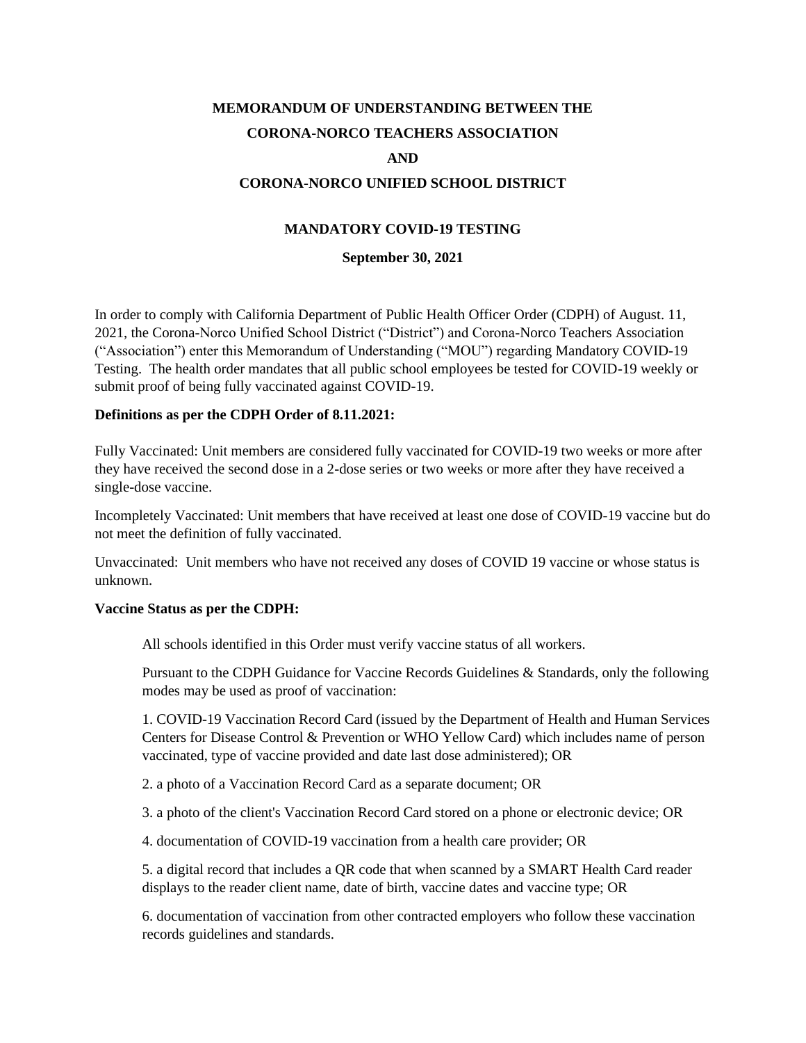# **MEMORANDUM OF UNDERSTANDING BETWEEN THE CORONA-NORCO TEACHERS ASSOCIATION AND CORONA-NORCO UNIFIED SCHOOL DISTRICT**

## **MANDATORY COVID-19 TESTING**

**September 30, 2021**

In order to comply with California Department of Public Health Officer Order (CDPH) of August. 11, 2021, the Corona-Norco Unified School District ("District") and Corona-Norco Teachers Association ("Association") enter this Memorandum of Understanding ("MOU") regarding Mandatory COVID-19 Testing. The health order mandates that all public school employees be tested for COVID-19 weekly or submit proof of being fully vaccinated against COVID-19.

### **Definitions as per the CDPH Order of 8.11.2021:**

Fully Vaccinated: Unit members are considered fully vaccinated for COVID-19 two weeks or more after they have received the second dose in a 2-dose series or two weeks or more after they have received a single-dose vaccine.

Incompletely Vaccinated: Unit members that have received at least one dose of COVID-19 vaccine but do not meet the definition of fully vaccinated.

Unvaccinated: Unit members who have not received any doses of COVID 19 vaccine or whose status is unknown.

#### **Vaccine Status as per the CDPH:**

All schools identified in this Order must verify vaccine status of all workers.

Pursuant to the CDPH Guidance for Vaccine Records Guidelines & Standards, only the following modes may be used as proof of vaccination:

1. COVID-19 Vaccination Record Card (issued by the Department of Health and Human Services Centers for Disease Control & Prevention or WHO Yellow Card) which includes name of person vaccinated, type of vaccine provided and date last dose administered); OR

2. a photo of a Vaccination Record Card as a separate document; OR

3. a photo of the client's Vaccination Record Card stored on a phone or electronic device; OR

4. documentation of COVID-19 vaccination from a health care provider; OR

5. a digital record that includes a QR code that when scanned by a SMART Health Card reader displays to the reader client name, date of birth, vaccine dates and vaccine type; OR

6. documentation of vaccination from other contracted employers who follow these vaccination records guidelines and standards.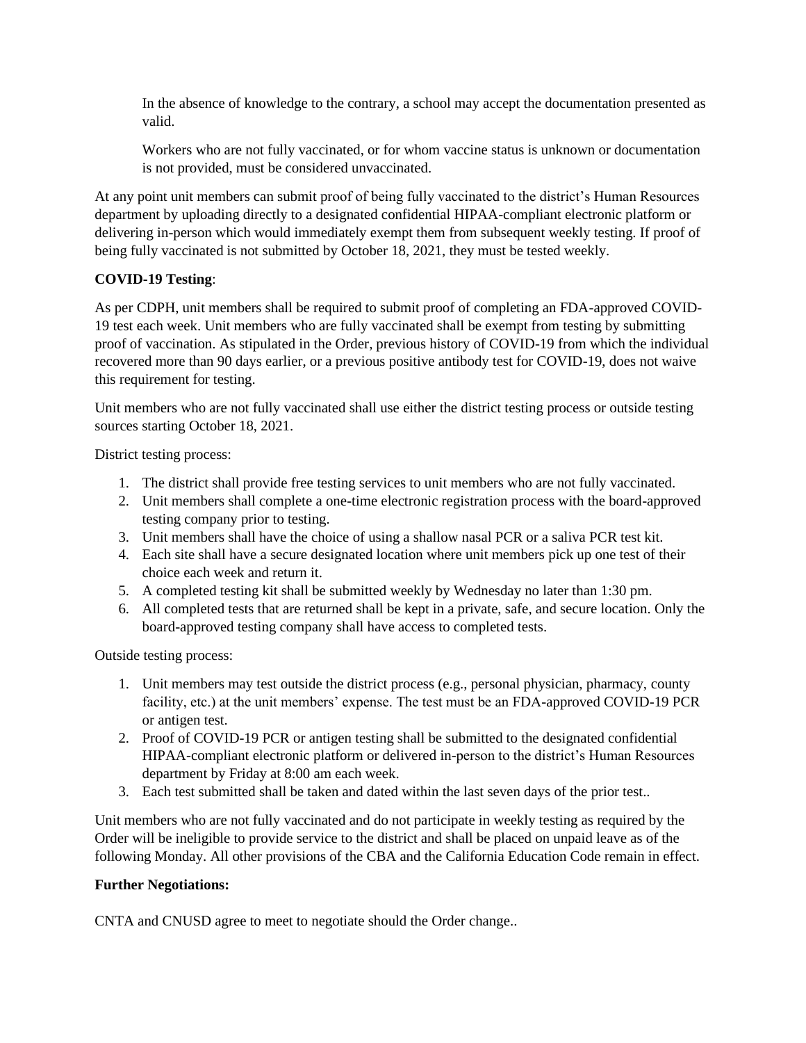In the absence of knowledge to the contrary, a school may accept the documentation presented as valid.

Workers who are not fully vaccinated, or for whom vaccine status is unknown or documentation is not provided, must be considered unvaccinated.

At any point unit members can submit proof of being fully vaccinated to the district's Human Resources department by uploading directly to a designated confidential HIPAA-compliant electronic platform or delivering in-person which would immediately exempt them from subsequent weekly testing. If proof of being fully vaccinated is not submitted by October 18, 2021, they must be tested weekly.

## **COVID-19 Testing**:

As per CDPH, unit members shall be required to submit proof of completing an FDA-approved COVID-19 test each week. Unit members who are fully vaccinated shall be exempt from testing by submitting proof of vaccination. As stipulated in the Order, previous history of COVID-19 from which the individual recovered more than 90 days earlier, or a previous positive antibody test for COVID-19, does not waive this requirement for testing.

Unit members who are not fully vaccinated shall use either the district testing process or outside testing sources starting October 18, 2021.

District testing process:

- 1. The district shall provide free testing services to unit members who are not fully vaccinated.
- 2. Unit members shall complete a one-time electronic registration process with the board-approved testing company prior to testing.
- 3. Unit members shall have the choice of using a shallow nasal PCR or a saliva PCR test kit.
- 4. Each site shall have a secure designated location where unit members pick up one test of their choice each week and return it.
- 5. A completed testing kit shall be submitted weekly by Wednesday no later than 1:30 pm.
- 6. All completed tests that are returned shall be kept in a private, safe, and secure location. Only the board-approved testing company shall have access to completed tests.

Outside testing process:

- 1. Unit members may test outside the district process (e.g., personal physician, pharmacy, county facility, etc.) at the unit members' expense. The test must be an FDA-approved COVID-19 PCR or antigen test.
- 2. Proof of COVID-19 PCR or antigen testing shall be submitted to the designated confidential HIPAA-compliant electronic platform or delivered in-person to the district's Human Resources department by Friday at 8:00 am each week.
- 3. Each test submitted shall be taken and dated within the last seven days of the prior test..

Unit members who are not fully vaccinated and do not participate in weekly testing as required by the Order will be ineligible to provide service to the district and shall be placed on unpaid leave as of the following Monday. All other provisions of the CBA and the California Education Code remain in effect.

#### **Further Negotiations:**

CNTA and CNUSD agree to meet to negotiate should the Order change..